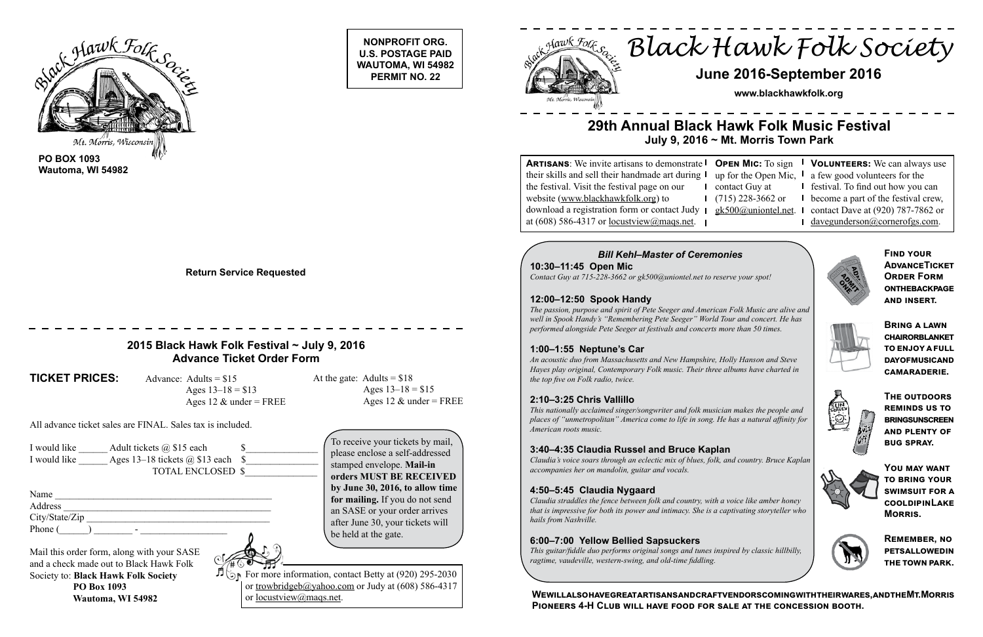**NONPROFIT ORG. U.S. POSTAGE PAID WAUTOMA, WI 54982 PERMIT NO. 22**



**PO BOX 1093 Wautoma, WI 54982**

> For more information, contact Betty at  $(920)$  295-2030 or trowbridgeb@yahoo.com or Judy at (608) 586-4317 or locustview@maqs.net.



**Return Service Requested**

# *Black Hawk Folk Society*

# **June 2016-September 2016**

**www.blackhawkfolk.org**

# **29th Annual Black Hawk Folk Music Festival July 9, 2016 ~ Mt. Morris Town Park**

 $\log$ **ARTISANS:** We invite artisans to demonstrate **| O** their skills and sell their handmade art during the festival. Visit the festival page on our website (www.blackhawkfolk.org) to download a registration form or contact Judy at (608) 586-4317 or locustview@maqs.net.

### *Bill Kehl–Master of Ceremonies*

**10:30–11:45 Open Mic** *Contact Guy at 715-228-3662 or gk500@uniontel.net to reserve your spot!*

#### **12:00–12:50 Spook Handy**

*The passion, purpose and spirit of Pete Seeger and American Folk Music are alive and well in Spook Handy's "Remembering Pete Seeger" World Tour and concert. He has performed alongside Pete Seeger at festivals and concerts more than 50 times.* 

#### **1:00–1:55 Neptune's Car**

*An acoustic duo from Massachusetts and New Hampshire, Holly Hanson and Steve Hayes play original, Contemporary Folk music. Their three albums have charted in the top five on Folk radio, twice.*

#### **2:10–3:25 Chris Vallillo**

*This nationally acclaimed singer/songwriter and folk musician makes the people and places of "unmetropolitan" America come to life in song. He has a natural affinity for American roots music.* 

#### **3:40–4:35 Claudia Russel and Bruce Kaplan**

*Claudia's voice soars through an eclectic mix of blues, folk, and country. Bruce Kaplan accompanies her on mandolin, guitar and vocals.* 

#### **4:50–5:45 Claudia Nygaard**

*Claudia straddles the fence between folk and country, with a voice like amber honey that is impressive for both its power and intimacy. She is a captivating storyteller who hails from Nashville.* 

#### **6:00–7:00 Yellow Bellied Sapsuckers**

*This guitar/fiddle duo performs original songs and tunes inspired by classic hillbilly, ragtime, vaudeville, western-swing, and old-time fiddling.*

|                | <b>OPEN MIC:</b> To sign $\blacksquare$ VOLUNTEERS: We can always use  |
|----------------|------------------------------------------------------------------------|
|                | up for the Open Mic, $\mathsf{I}$ a few good volunteers for the        |
| contact Guy at | <b>I</b> festival. To find out how you can                             |
|                | $(715)$ 228-3662 or $\blacksquare$ become a part of the festival crew, |
|                | $gk500$ @uniontel.net. I contact Dave at (920) 787-7862 or             |
|                | davegunderson@cornerofgs.com.                                          |



**SUNITED** 

## **2015 Black Hawk Folk Festival ~ July 9, 2016 Advance Ticket Order Form**

**TICKET PRICES:** Advance: Adults = \$15

Ages  $13-18 = $13$ Ages 12  $\&$  under = FREE At the gate: Adults =  $$18$ Ages  $13-18 = $15$ Ages 12  $\&$  under = FREE

All advance ticket sales are FINAL. Sales tax is included.

| I would like | Adult tickets $(a)$ \$15 each            |  |
|--------------|------------------------------------------|--|
| I would like | Ages 13–18 tickets $\omega$ \$13 each \$ |  |
|              | <b>TOTAL ENCLOSED \$</b>                 |  |

| Name           |  |
|----------------|--|
| Address        |  |
| City/State/Zip |  |
| Phone (<br>-   |  |

Mail this order form, along with your SASE and a check made out to Black Hawk Folk Society to: **Black Hawk Folk Society PO Box 1093 Wautoma, WI 54982**



To receive your tickets by mail, please enclose a self-addressed stamped envelope. **Mail-in orders MUST BE RECEIVED by June 30, 2016, to allow time for mailing.** If you do not send an SASE or your order arrives after June 30, your tickets will be held at the gate.

**Find your Advance Ticket Order Form ONTHEBACKPAGE and insert.** 





**You may want to bring your swimsuit for a cool dip in Lake Morris.**



**Remember, no pets allowed in the town park.**

**We will also have great artisans and craft vendors coming with their wares, and the Mt. Morris Pioneers 4-H Club will have food for sale at the concession booth.**